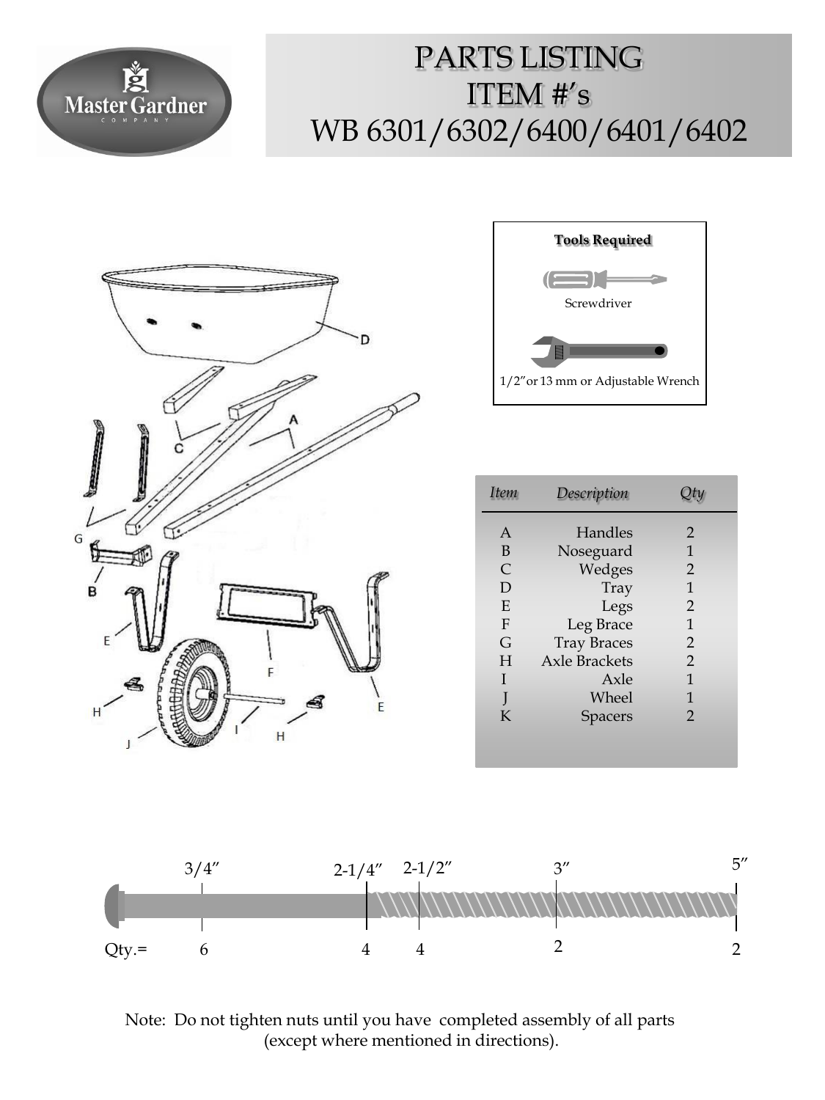

## PARTS LISTING ITEM  $#$ 's WB 6301/6302/6400/6401/6402





| Item         | Description        |                |
|--------------|--------------------|----------------|
| A            | Handles            | 2              |
| B            | Noseguard          | 1              |
| $\mathsf{C}$ | Wedges             | 2              |
| D            | Tray               | 1              |
| E            | Legs               | $\overline{2}$ |
| $\mathbf{F}$ | Leg Brace          | 1              |
| G            | <b>Tray Braces</b> | $\overline{2}$ |
| H            | Axle Brackets      | $\mathcal{P}$  |
| Ī            | Axle               | 1              |
|              | Wheel              | 1              |
| K            | Spacers            | $\mathfrak{D}$ |
|              |                    |                |



Note: Do not tighten nuts until you have completed assembly of all parts (except where mentioned in directions).